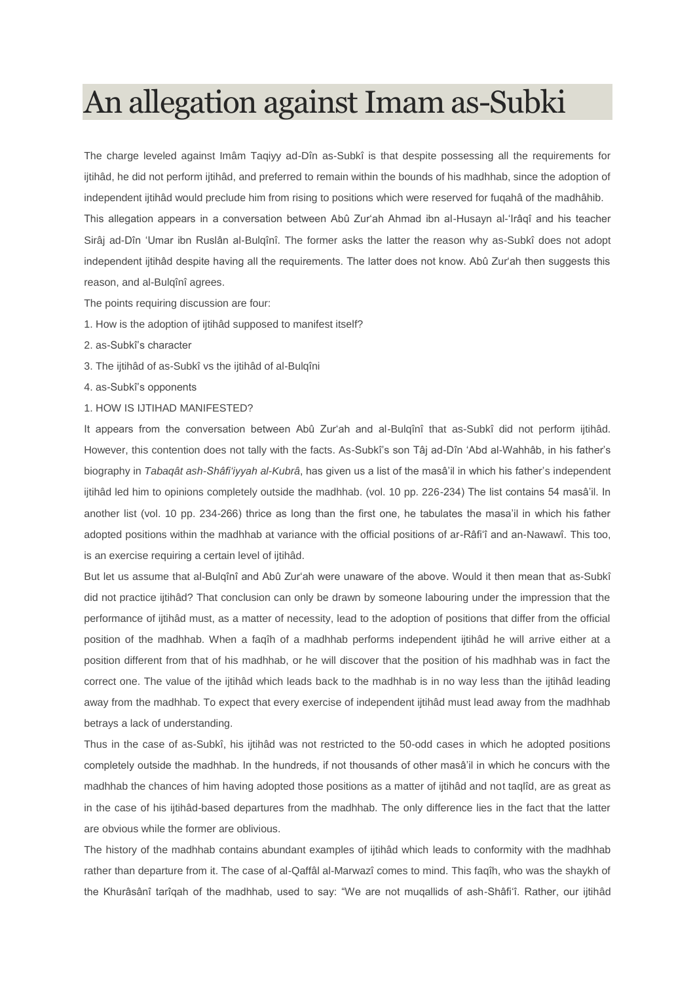## An allegation against Imam as-Subki

The charge leveled against Imâm Taqiyy ad-Dîn as-Subkî is that despite possessing all the requirements for ijtihâd, he did not perform ijtihâd, and preferred to remain within the bounds of his madhhab, since the adoption of independent ijtihâd would preclude him from rising to positions which were reserved for fuqahâ of the madhâhib. This allegation appears in a conversation between Abû Zur'ah Ahmad ibn al-Husayn al-'Irâqî and his teacher Sirâj ad-Dîn 'Umar ibn Ruslân al-Bulqînî. The former asks the latter the reason why as-Subkî does not adopt independent ijtihâd despite having all the requirements. The latter does not know. Abû Zur'ah then suggests this reason, and al-Bulqînî agrees.

The points requiring discussion are four:

- 1. How is the adoption of ijtihâd supposed to manifest itself?
- 2. as-Subkî's character
- 3. The ijtihâd of as-Subkî vs the ijtihâd of al-Bulqîni
- 4. as-Subkî's opponents
- 1. HOW IS IJTIHAD MANIFESTED?

It appears from the conversation between Abû Zur'ah and al-Bulqînî that as-Subkî did not perform ijtihâd. However, this contention does not tally with the facts. As-Subkî's son Tâj ad-Dîn 'Abd al-Wahhâb, in his father's biography in *Tabaqât ash-Shâfi'iyyah al-Kubrâ*, has given us a list of the masâ'il in which his father's independent ijtihâd led him to opinions completely outside the madhhab. (vol. 10 pp. 226-234) The list contains 54 masâ'il. In another list (vol. 10 pp. 234-266) thrice as long than the first one, he tabulates the masa'il in which his father adopted positions within the madhhab at variance with the official positions of ar-Râfi'î and an-Nawawî. This too, is an exercise requiring a certain level of ijtihâd.

But let us assume that al-Bulqînî and Abû Zur'ah were unaware of the above. Would it then mean that as-Subkî did not practice ijtihâd? That conclusion can only be drawn by someone labouring under the impression that the performance of ijtihâd must, as a matter of necessity, lead to the adoption of positions that differ from the official position of the madhhab. When a faqîh of a madhhab performs independent ijtihâd he will arrive either at a position different from that of his madhhab, or he will discover that the position of his madhhab was in fact the correct one. The value of the ijtihâd which leads back to the madhhab is in no way less than the ijtihâd leading away from the madhhab. To expect that every exercise of independent ijtihâd must lead away from the madhhab betrays a lack of understanding.

Thus in the case of as-Subkî, his ijtihâd was not restricted to the 50-odd cases in which he adopted positions completely outside the madhhab. In the hundreds, if not thousands of other masâ'il in which he concurs with the madhhab the chances of him having adopted those positions as a matter of ijtihâd and not taqlîd, are as great as in the case of his ijtihâd-based departures from the madhhab. The only difference lies in the fact that the latter are obvious while the former are oblivious.

The history of the madhhab contains abundant examples of ijtihâd which leads to conformity with the madhhab rather than departure from it. The case of al-Qaffâl al-Marwazî comes to mind. This faqîh, who was the shaykh of the Khurâsânî tarîqah of the madhhab, used to say: "We are not muqallids of ash-Shâfi'î. Rather, our ijtihâd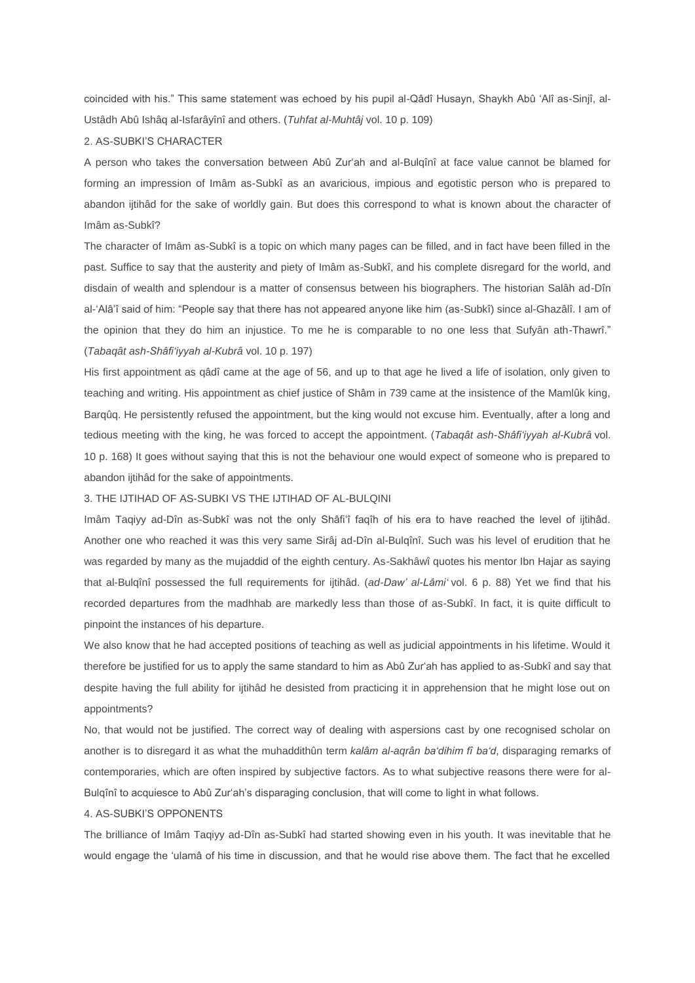coincided with his." This same statement was echoed by his pupil al-Qâdî Husayn, Shaykh Abû 'Alî as-Sinjî, al-Ustâdh Abû Ishâq al-Isfarâyînî and others. (*Tuhfat al-Muhtâj* vol. 10 p. 109)

## 2. AS-SUBKI'S CHARACTER

A person who takes the conversation between Abû Zur'ah and al-Bulqînî at face value cannot be blamed for forming an impression of Imâm as-Subkî as an avaricious, impious and egotistic person who is prepared to abandon ijtihâd for the sake of worldly gain. But does this correspond to what is known about the character of Imâm as-Subkî?

The character of Imâm as-Subkî is a topic on which many pages can be filled, and in fact have been filled in the past. Suffice to say that the austerity and piety of Imâm as-Subkî, and his complete disregard for the world, and disdain of wealth and splendour is a matter of consensus between his biographers. The historian Salâh ad-Dîn al-'Alâ'î said of him: "People say that there has not appeared anyone like him (as-Subkî) since al-Ghazâlî. I am of the opinion that they do him an injustice. To me he is comparable to no one less that Sufyân ath-Thawrî." (*Tabaqât ash-Shâfi'iyyah al-Kubrâ* vol. 10 p. 197)

His first appointment as qâdî came at the age of 56, and up to that age he lived a life of isolation, only given to teaching and writing. His appointment as chief justice of Shâm in 739 came at the insistence of the Mamlûk king, Barqûq. He persistently refused the appointment, but the king would not excuse him. Eventually, after a long and tedious meeting with the king, he was forced to accept the appointment. (*Tabaqât ash-Shâfi'iyyah al-Kubrâ* vol. 10 p. 168) It goes without saying that this is not the behaviour one would expect of someone who is prepared to abandon ijtihâd for the sake of appointments.

## 3. THE IJTIHAD OF AS-SUBKI VS THE IJTIHAD OF AL-BULQINI

Imâm Taqiyy ad-Dîn as-Subkî was not the only Shâfi'î faqîh of his era to have reached the level of ijtihâd. Another one who reached it was this very same Sirâj ad-Dîn al-Bulqînî. Such was his level of erudition that he was regarded by many as the mujaddid of the eighth century. As-Sakhâwî quotes his mentor Ibn Hajar as saying that al-Bulqînî possessed the full requirements for ijtihâd. (*ad-Daw' al-Lâmi'* vol. 6 p. 88) Yet we find that his recorded departures from the madhhab are markedly less than those of as-Subkî. In fact, it is quite difficult to pinpoint the instances of his departure.

We also know that he had accepted positions of teaching as well as judicial appointments in his lifetime. Would it therefore be justified for us to apply the same standard to him as Abû Zur'ah has applied to as-Subkî and say that despite having the full ability for ijtihâd he desisted from practicing it in apprehension that he might lose out on appointments?

No, that would not be justified. The correct way of dealing with aspersions cast by one recognised scholar on another is to disregard it as what the muhaddithûn term *kalâm al-aqrân ba'dihim fî ba'd*, disparaging remarks of contemporaries, which are often inspired by subjective factors. As to what subjective reasons there were for al-Bulqînî to acquiesce to Abû Zur'ah's disparaging conclusion, that will come to light in what follows.

## 4. AS-SUBKI'S OPPONENTS

The brilliance of Imâm Taqiyy ad-Dîn as-Subkî had started showing even in his youth. It was inevitable that he would engage the 'ulamâ of his time in discussion, and that he would rise above them. The fact that he excelled